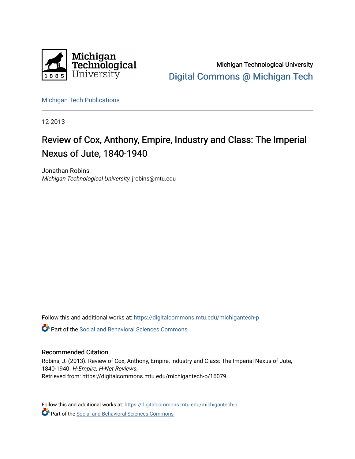

Michigan Technological University [Digital Commons @ Michigan Tech](https://digitalcommons.mtu.edu/) 

[Michigan Tech Publications](https://digitalcommons.mtu.edu/michigantech-p) 

12-2013

## Review of Cox, Anthony, Empire, Industry and Class: The Imperial Nexus of Jute, 1840-1940

Jonathan Robins Michigan Technological University, jrobins@mtu.edu

Follow this and additional works at: [https://digitalcommons.mtu.edu/michigantech-p](https://digitalcommons.mtu.edu/michigantech-p?utm_source=digitalcommons.mtu.edu%2Fmichigantech-p%2F16079&utm_medium=PDF&utm_campaign=PDFCoverPages)

**C** Part of the Social and Behavioral Sciences Commons

## Recommended Citation

Robins, J. (2013). Review of Cox, Anthony, Empire, Industry and Class: The Imperial Nexus of Jute, 1840-1940. H-Empire, H-Net Reviews. Retrieved from: https://digitalcommons.mtu.edu/michigantech-p/16079

Follow this and additional works at: [https://digitalcommons.mtu.edu/michigantech-p](https://digitalcommons.mtu.edu/michigantech-p?utm_source=digitalcommons.mtu.edu%2Fmichigantech-p%2F16079&utm_medium=PDF&utm_campaign=PDFCoverPages)  Part of the Social and Behavioral Sciences Commons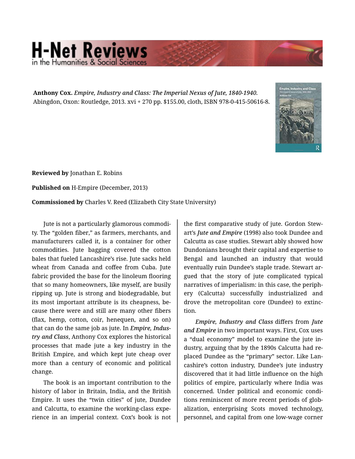## **H-Net Reviews**

**Anthony Cox.** *Empire, Industry and Class: The Imperial Nexus of Jute, 1840-1940.*  Abingdon, Oxon: Routledge, 2013. xvi + 270 pp. \$155.00, cloth, ISBN 978-0-415-50616-8.



**Reviewed by** Jonathan E. Robins

**Published on** H-Empire (December, 2013)

**Commissioned by** Charles V. Reed (Elizabeth City State University)

Jute is not a particularly glamorous commodi‐ ty. The "golden fiber," as farmers, merchants, and manufacturers called it, is a container for other commodities. Jute bagging covered the cotton bales that fueled Lancashire's rise. Jute sacks held wheat from Canada and coffee from Cuba. Jute fabric provided the base for the linoleum flooring that so many homeowners, like myself, are busily ripping up. Jute is strong and biodegradable, but its most important attribute is its cheapness, be‐ cause there were and still are many other fibers (flax, hemp, cotton, coir, henequen, and so on) that can do the same job as jute. In *Empire, Indus‐ try and Class*, Anthony Cox explores the historical processes that made jute a key industry in the British Empire, and which kept jute cheap over more than a century of economic and political change.

The book is an important contribution to the history of labor in Britain, India, and the British Empire. It uses the "twin cities" of jute, Dundee and Calcutta, to examine the working-class expe‐ rience in an imperial context. Cox's book is not

the first comparative study of jute. Gordon Stew‐ art's *Jute and Empire* (1998) also took Dundee and Calcutta as case studies. Stewart ably showed how Dundonians brought their capital and expertise to Bengal and launched an industry that would eventually ruin Dundee's staple trade. Stewart ar‐ gued that the story of jute complicated typical narratives of imperialism: in this case, the periph‐ ery (Calcutta) successfully industrialized and drove the metropolitan core (Dundee) to extinc‐ tion.

*Empire, Industry and Class* differs from *Jute and Empire* in two important ways. First, Cox uses a "dual economy" model to examine the jute in‐ dustry, arguing that by the 1890s Calcutta had re‐ placed Dundee as the "primary" sector. Like Lan‐ cashire's cotton industry, Dundee's jute industry discovered that it had little influence on the high politics of empire, particularly where India was concerned. Under political and economic condi‐ tions reminiscent of more recent periods of glob‐ alization, enterprising Scots moved technology, personnel, and capital from one low-wage corner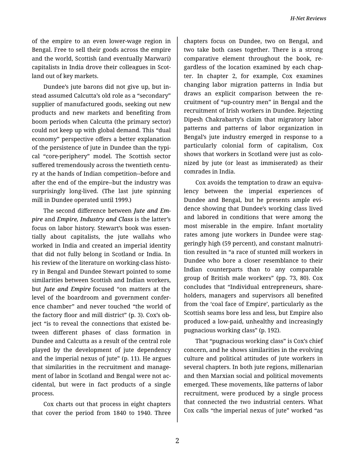of the empire to an even lower-wage region in Bengal. Free to sell their goods across the empire and the world, Scottish (and eventually Marwari) capitalists in India drove their colleagues in Scot‐ land out of key markets.

Dundee's jute barons did not give up, but in‐ stead assumed Calcutta's old role as a "secondary" supplier of manufactured goods, seeking out new products and new markets and benefiting from boom periods when Calcutta (the primary sector) could not keep up with global demand. This "dual economy" perspective offers a better explanation of the persistence of jute in Dundee than the typi‐ cal "core-periphery" model. The Scottish sector suffered tremendously across the twentieth centu‐ ry at the hands of Indian competition--before and after the end of the empire--but the industry was surprisingly long-lived. (The last jute spinning mill in Dundee operated until 1999.)

The second difference between *Jute and Em‐ pire* and *Empire, Industry and Class* is the latter's focus on labor history. Stewart's book was essen‐ tially about capitalists, the jute wallahs who worked in India and created an imperial identity that did not fully belong in Scotland or India. In his review of the literature on working-class histo‐ ry in Bengal and Dundee Stewart pointed to some similarities between Scottish and Indian workers, but *Jute and Empire* focused "on matters at the level of the boardroom and government confer‐ ence chamber" and never touched "the world of the factory floor and mill district" (p. 3). Cox's ob‐ ject "is to reveal the connections that existed be‐ tween different phases of class formation in Dundee and Calcutta as a result of the central role played by the development of jute dependency and the imperial nexus of jute" (p. 11). He argues that similarities in the recruitment and manage‐ ment of labor in Scotland and Bengal were not ac‐ cidental, but were in fact products of a single process.

Cox charts out that process in eight chapters that cover the period from 1840 to 1940. Three

chapters focus on Dundee, two on Bengal, and two take both cases together. There is a strong comparative element throughout the book, re‐ gardless of the location examined by each chap‐ ter. In chapter 2, for example, Cox examines changing labor migration patterns in India but draws an explicit comparison between the re‐ cruitment of "up-country men" in Bengal and the recruitment of Irish workers in Dundee. Rejecting Dipesh Chakrabarty's claim that migratory labor patterns and patterns of labor organization in Bengal's jute industry emerged in response to a particularly colonial form of capitalism, Cox shows that workers in Scotland were just as colo‐ nized by jute (or least as immiserated) as their comrades in India.

Cox avoids the temptation to draw an equiva‐ lency between the imperial experiences of Dundee and Bengal, but he presents ample evi‐ dence showing that Dundee's working class lived and labored in conditions that were among the most miserable in the empire. Infant mortality rates among jute workers in Dundee were stag‐ geringly high (59 percent), and constant malnutri‐ tion resulted in "a race of stunted mill workers in Dundee who bore a closer resemblance to their Indian counterparts than to any comparable group of British male workers" (pp. 73, 80). Cox concludes that "Individual entrepreneurs, share‐ holders, managers and supervisors all benefited from the 'coal face of Empire', particularly as the Scottish seams bore less and less, but Empire also produced a low-paid, unhealthy and increasingly pugnacious working class" (p. 192).

That "pugnacious working class" is Cox's chief concern, and he shows similarities in the evolving culture and political attitudes of jute workers in several chapters. In both jute regions, millenarian and then Marxian social and political movements emerged. These movements, like patterns of labor recruitment, were produced by a single process that connected the two industrial centers. What Cox calls "the imperial nexus of jute" worked "as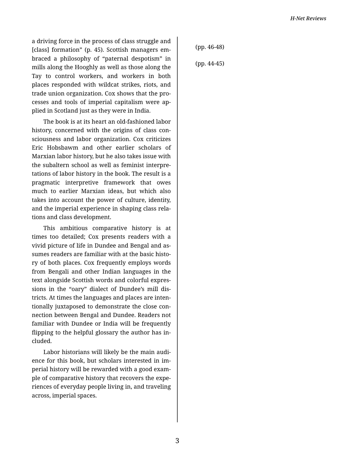a driving force in the process of class struggle and [class] formation" (p. 45). Scottish managers em‐ braced a philosophy of "paternal despotism" in mills along the Hooghly as well as those along the Tay to control workers, and workers in both places responded with wildcat strikes, riots, and trade union organization. Cox shows that the pro‐ cesses and tools of imperial capitalism were ap‐ plied in Scotland just as they were in India.

The book is at its heart an old-fashioned labor history, concerned with the origins of class con‐ sciousness and labor organization. Cox criticizes Eric Hobsbawm and other earlier scholars of Marxian labor history, but he also takes issue with the subaltern school as well as feminist interpre‐ tations of labor history in the book. The result is a pragmatic interpretive framework that owes much to earlier Marxian ideas, but which also takes into account the power of culture, identity, and the imperial experience in shaping class rela‐ tions and class development.

This ambitious comparative history is at times too detailed; Cox presents readers with a vivid picture of life in Dundee and Bengal and as‐ sumes readers are familiar with at the basic histo‐ ry of both places. Cox frequently employs words from Bengali and other Indian languages in the text alongside Scottish words and colorful expres‐ sions in the "oary" dialect of Dundee's mill dis‐ tricts. At times the languages and places are inten‐ tionally juxtaposed to demonstrate the close con‐ nection between Bengal and Dundee. Readers not familiar with Dundee or India will be frequently flipping to the helpful glossary the author has in‐ cluded.

Labor historians will likely be the main audi‐ ence for this book, but scholars interested in im‐ perial history will be rewarded with a good exam‐ ple of comparative history that recovers the expe‐ riences of everyday people living in, and traveling across, imperial spaces.

(pp. 46-48)

(pp. 44-45)